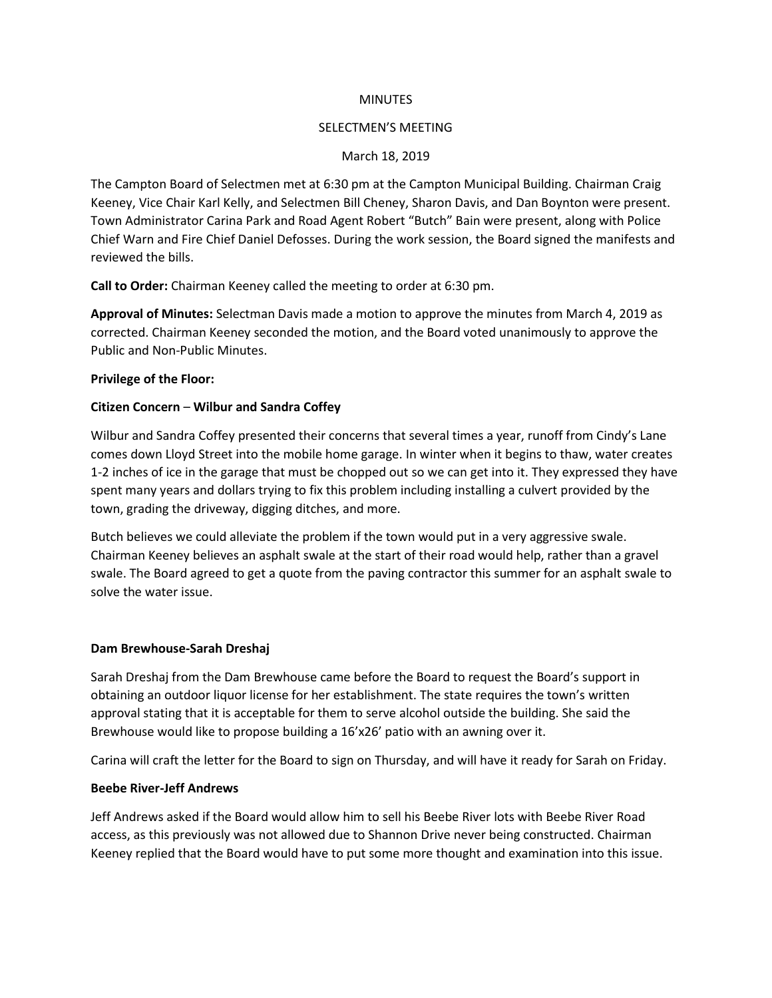#### **MINUTES**

#### SELECTMEN'S MEETING

#### March 18, 2019

The Campton Board of Selectmen met at 6:30 pm at the Campton Municipal Building. Chairman Craig Keeney, Vice Chair Karl Kelly, and Selectmen Bill Cheney, Sharon Davis, and Dan Boynton were present. Town Administrator Carina Park and Road Agent Robert "Butch" Bain were present, along with Police Chief Warn and Fire Chief Daniel Defosses. During the work session, the Board signed the manifests and reviewed the bills.

**Call to Order:** Chairman Keeney called the meeting to order at 6:30 pm.

**Approval of Minutes:** Selectman Davis made a motion to approve the minutes from March 4, 2019 as corrected. Chairman Keeney seconded the motion, and the Board voted unanimously to approve the Public and Non-Public Minutes.

#### **Privilege of the Floor:**

## **Citizen Concern** – **Wilbur and Sandra Coffey**

Wilbur and Sandra Coffey presented their concerns that several times a year, runoff from Cindy's Lane comes down Lloyd Street into the mobile home garage. In winter when it begins to thaw, water creates 1-2 inches of ice in the garage that must be chopped out so we can get into it. They expressed they have spent many years and dollars trying to fix this problem including installing a culvert provided by the town, grading the driveway, digging ditches, and more.

Butch believes we could alleviate the problem if the town would put in a very aggressive swale. Chairman Keeney believes an asphalt swale at the start of their road would help, rather than a gravel swale. The Board agreed to get a quote from the paving contractor this summer for an asphalt swale to solve the water issue.

## **Dam Brewhouse-Sarah Dreshaj**

Sarah Dreshaj from the Dam Brewhouse came before the Board to request the Board's support in obtaining an outdoor liquor license for her establishment. The state requires the town's written approval stating that it is acceptable for them to serve alcohol outside the building. She said the Brewhouse would like to propose building a 16'x26' patio with an awning over it.

Carina will craft the letter for the Board to sign on Thursday, and will have it ready for Sarah on Friday.

## **Beebe River-Jeff Andrews**

Jeff Andrews asked if the Board would allow him to sell his Beebe River lots with Beebe River Road access, as this previously was not allowed due to Shannon Drive never being constructed. Chairman Keeney replied that the Board would have to put some more thought and examination into this issue.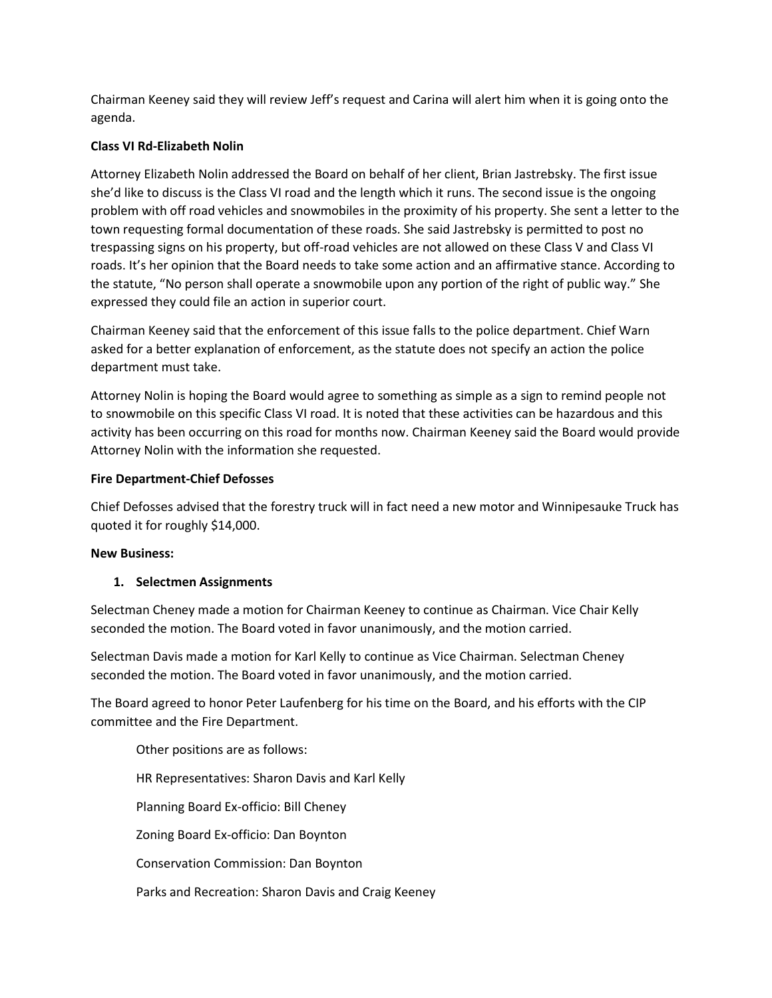Chairman Keeney said they will review Jeff's request and Carina will alert him when it is going onto the agenda.

# **Class VI Rd-Elizabeth Nolin**

Attorney Elizabeth Nolin addressed the Board on behalf of her client, Brian Jastrebsky. The first issue she'd like to discuss is the Class VI road and the length which it runs. The second issue is the ongoing problem with off road vehicles and snowmobiles in the proximity of his property. She sent a letter to the town requesting formal documentation of these roads. She said Jastrebsky is permitted to post no trespassing signs on his property, but off-road vehicles are not allowed on these Class V and Class VI roads. It's her opinion that the Board needs to take some action and an affirmative stance. According to the statute, "No person shall operate a snowmobile upon any portion of the right of public way." She expressed they could file an action in superior court.

Chairman Keeney said that the enforcement of this issue falls to the police department. Chief Warn asked for a better explanation of enforcement, as the statute does not specify an action the police department must take.

Attorney Nolin is hoping the Board would agree to something as simple as a sign to remind people not to snowmobile on this specific Class VI road. It is noted that these activities can be hazardous and this activity has been occurring on this road for months now. Chairman Keeney said the Board would provide Attorney Nolin with the information she requested.

# **Fire Department-Chief Defosses**

Chief Defosses advised that the forestry truck will in fact need a new motor and Winnipesauke Truck has quoted it for roughly \$14,000.

## **New Business:**

## **1. Selectmen Assignments**

Selectman Cheney made a motion for Chairman Keeney to continue as Chairman. Vice Chair Kelly seconded the motion. The Board voted in favor unanimously, and the motion carried.

Selectman Davis made a motion for Karl Kelly to continue as Vice Chairman. Selectman Cheney seconded the motion. The Board voted in favor unanimously, and the motion carried.

The Board agreed to honor Peter Laufenberg for his time on the Board, and his efforts with the CIP committee and the Fire Department.

Other positions are as follows: HR Representatives: Sharon Davis and Karl Kelly Planning Board Ex-officio: Bill Cheney Zoning Board Ex-officio: Dan Boynton Conservation Commission: Dan Boynton Parks and Recreation: Sharon Davis and Craig Keeney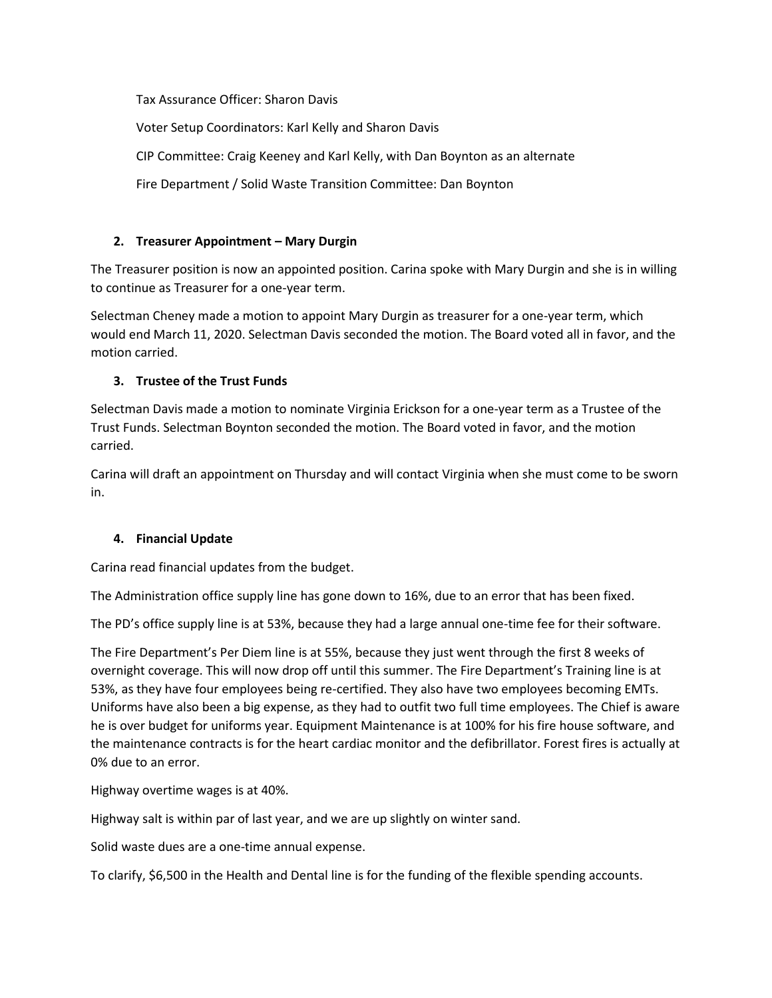Tax Assurance Officer: Sharon Davis

Voter Setup Coordinators: Karl Kelly and Sharon Davis CIP Committee: Craig Keeney and Karl Kelly, with Dan Boynton as an alternate

Fire Department / Solid Waste Transition Committee: Dan Boynton

# **2. Treasurer Appointment – Mary Durgin**

The Treasurer position is now an appointed position. Carina spoke with Mary Durgin and she is in willing to continue as Treasurer for a one-year term.

Selectman Cheney made a motion to appoint Mary Durgin as treasurer for a one-year term, which would end March 11, 2020. Selectman Davis seconded the motion. The Board voted all in favor, and the motion carried.

# **3. Trustee of the Trust Funds**

Selectman Davis made a motion to nominate Virginia Erickson for a one-year term as a Trustee of the Trust Funds. Selectman Boynton seconded the motion. The Board voted in favor, and the motion carried.

Carina will draft an appointment on Thursday and will contact Virginia when she must come to be sworn in.

## **4. Financial Update**

Carina read financial updates from the budget.

The Administration office supply line has gone down to 16%, due to an error that has been fixed.

The PD's office supply line is at 53%, because they had a large annual one-time fee for their software.

The Fire Department's Per Diem line is at 55%, because they just went through the first 8 weeks of overnight coverage. This will now drop off until this summer. The Fire Department's Training line is at 53%, as they have four employees being re-certified. They also have two employees becoming EMTs. Uniforms have also been a big expense, as they had to outfit two full time employees. The Chief is aware he is over budget for uniforms year. Equipment Maintenance is at 100% for his fire house software, and the maintenance contracts is for the heart cardiac monitor and the defibrillator. Forest fires is actually at 0% due to an error.

Highway overtime wages is at 40%.

Highway salt is within par of last year, and we are up slightly on winter sand.

Solid waste dues are a one-time annual expense.

To clarify, \$6,500 in the Health and Dental line is for the funding of the flexible spending accounts.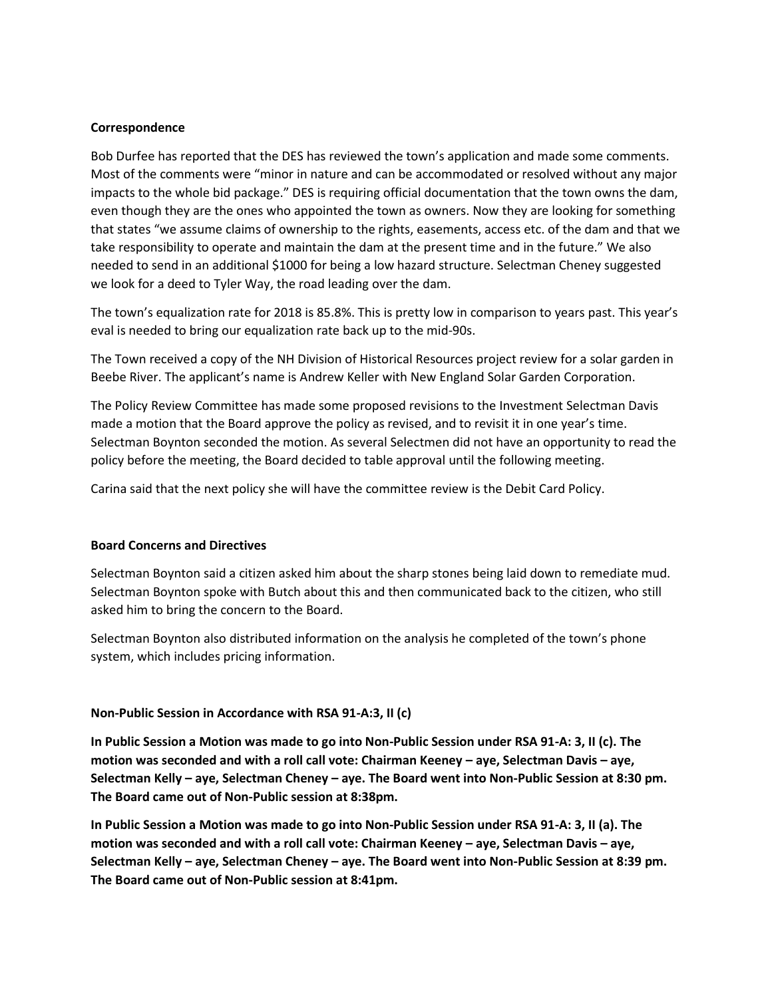#### **Correspondence**

Bob Durfee has reported that the DES has reviewed the town's application and made some comments. Most of the comments were "minor in nature and can be accommodated or resolved without any major impacts to the whole bid package." DES is requiring official documentation that the town owns the dam, even though they are the ones who appointed the town as owners. Now they are looking for something that states "we assume claims of ownership to the rights, easements, access etc. of the dam and that we take responsibility to operate and maintain the dam at the present time and in the future." We also needed to send in an additional \$1000 for being a low hazard structure. Selectman Cheney suggested we look for a deed to Tyler Way, the road leading over the dam.

The town's equalization rate for 2018 is 85.8%. This is pretty low in comparison to years past. This year's eval is needed to bring our equalization rate back up to the mid-90s.

The Town received a copy of the NH Division of Historical Resources project review for a solar garden in Beebe River. The applicant's name is Andrew Keller with New England Solar Garden Corporation.

The Policy Review Committee has made some proposed revisions to the Investment Selectman Davis made a motion that the Board approve the policy as revised, and to revisit it in one year's time. Selectman Boynton seconded the motion. As several Selectmen did not have an opportunity to read the policy before the meeting, the Board decided to table approval until the following meeting.

Carina said that the next policy she will have the committee review is the Debit Card Policy.

#### **Board Concerns and Directives**

Selectman Boynton said a citizen asked him about the sharp stones being laid down to remediate mud. Selectman Boynton spoke with Butch about this and then communicated back to the citizen, who still asked him to bring the concern to the Board.

Selectman Boynton also distributed information on the analysis he completed of the town's phone system, which includes pricing information.

#### **Non-Public Session in Accordance with RSA 91-A:3, II (c)**

**In Public Session a Motion was made to go into Non-Public Session under RSA 91-A: 3, II (c). The motion was seconded and with a roll call vote: Chairman Keeney – aye, Selectman Davis – aye, Selectman Kelly – aye, Selectman Cheney – aye. The Board went into Non-Public Session at 8:30 pm. The Board came out of Non-Public session at 8:38pm.** 

**In Public Session a Motion was made to go into Non-Public Session under RSA 91-A: 3, II (a). The motion was seconded and with a roll call vote: Chairman Keeney – aye, Selectman Davis – aye, Selectman Kelly – aye, Selectman Cheney – aye. The Board went into Non-Public Session at 8:39 pm. The Board came out of Non-Public session at 8:41pm.**